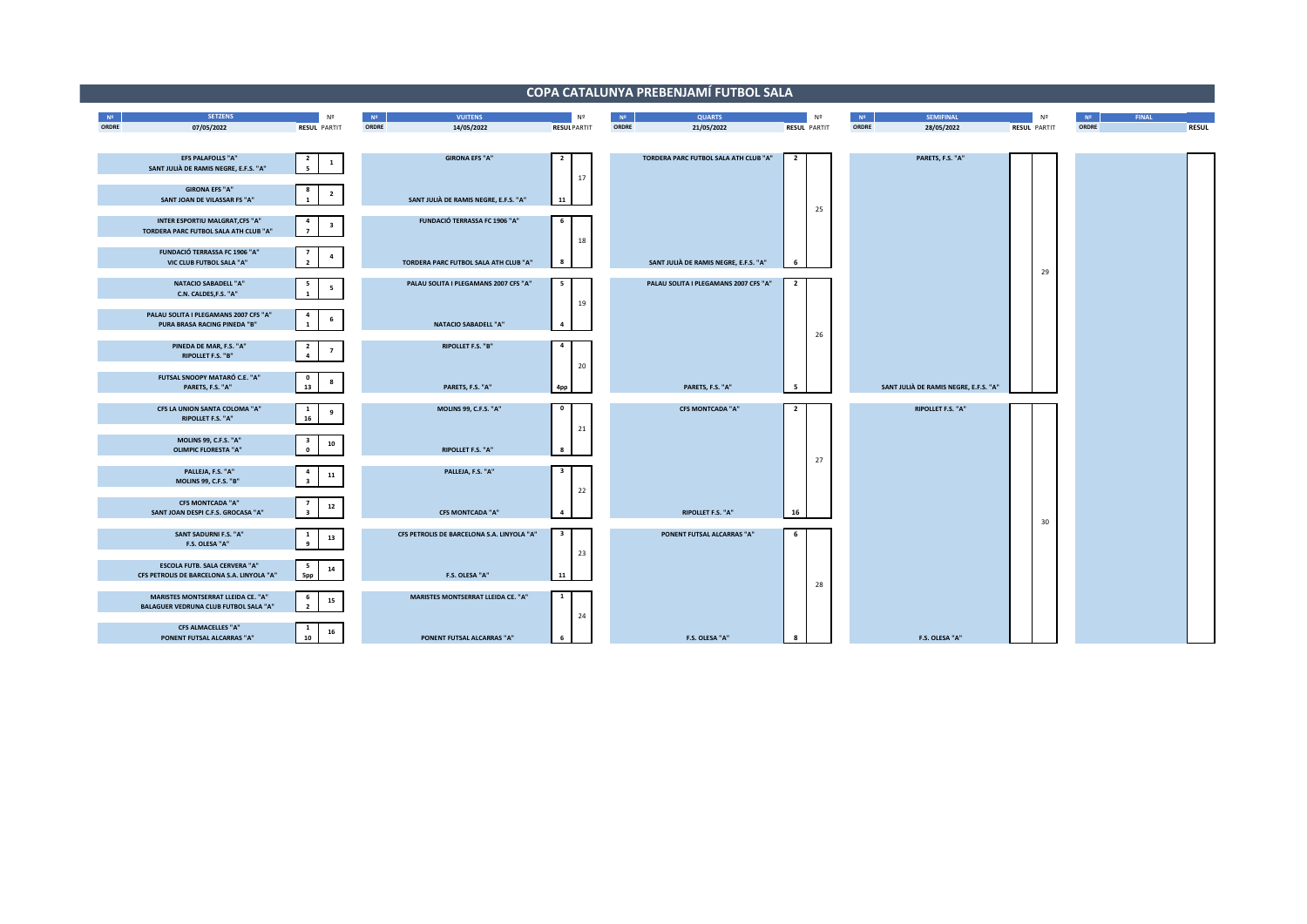